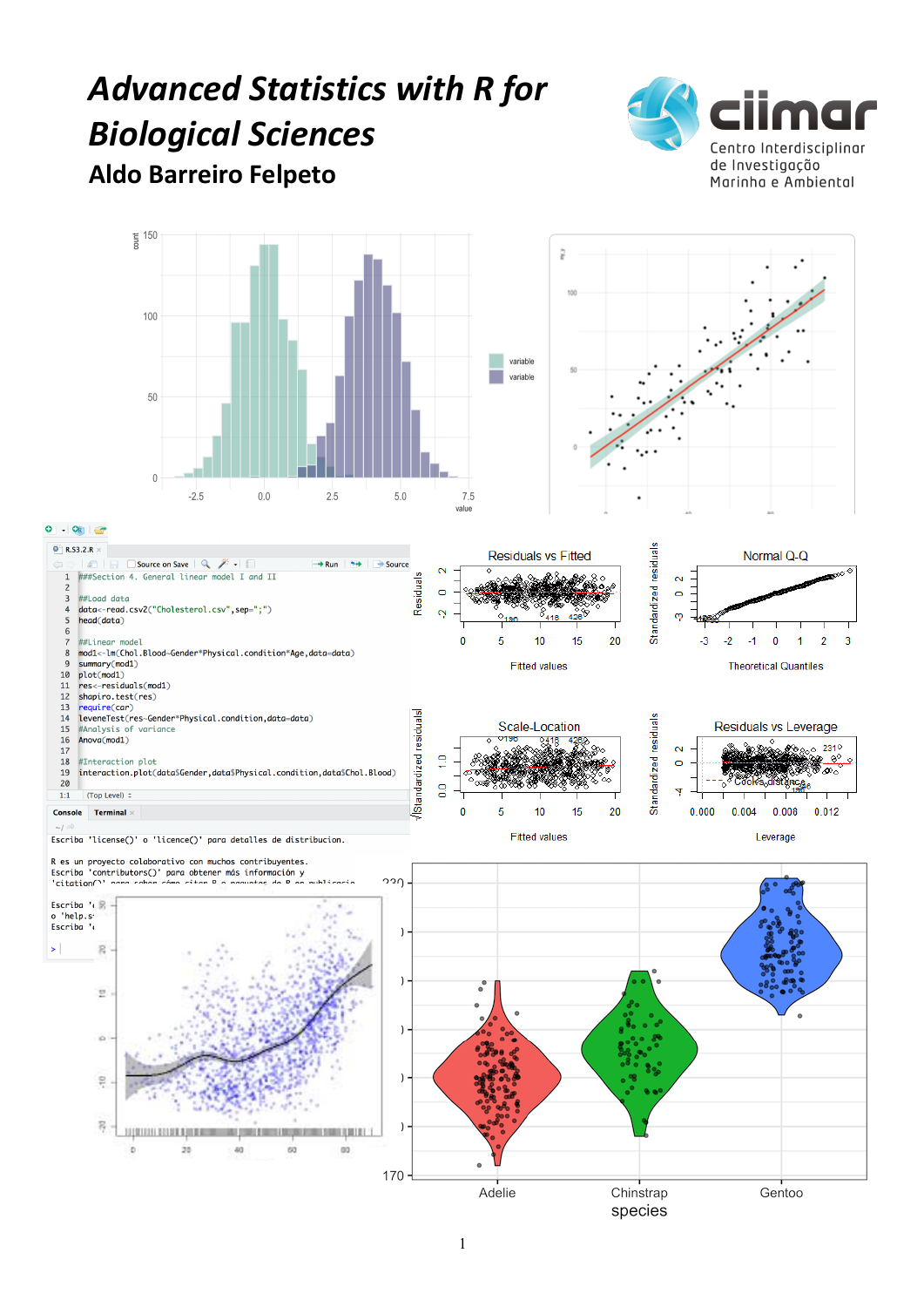# *Advanced Statistics with R for Biological Sciences* **Aldo Barreiro Felpeto**





species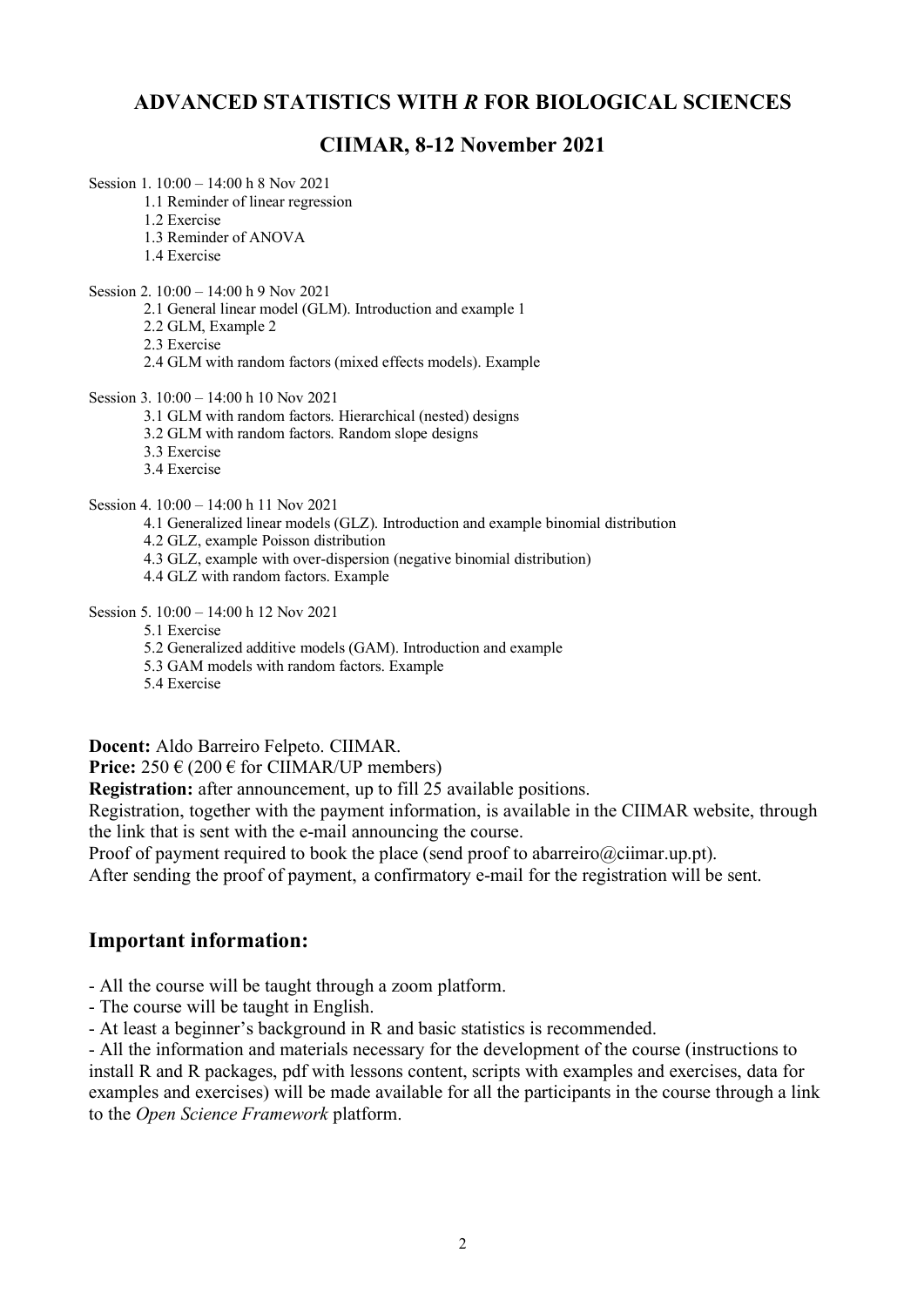## **ADVANCED STATISTICS WITH** *R* **FOR BIOLOGICAL SCIENCES**

## **CIIMAR, 8-12 November 2021**

Session 1. 10:00 – 14:00 h 8 Nov 2021

- 1.1 Reminder of linear regression
- 1.2 Exercise
- 1.3 Reminder of ANOVA
- 1.4 Exercise
- Session 2. 10:00 14:00 h 9 Nov 2021
	- 2.1 General linear model (GLM). Introduction and example 1
	- 2.2 GLM, Example 2
	- 2.3 Exercise
	- 2.4 GLM with random factors (mixed effects models). Example
- Session 3. 10:00 14:00 h 10 Nov 2021
	- 3.1 GLM with random factors. Hierarchical (nested) designs
	- 3.2 GLM with random factors. Random slope designs
	- 3.3 Exercise
	- 3.4 Exercise

#### Session 4. 10:00 – 14:00 h 11 Nov 2021

- 4.1 Generalized linear models (GLZ). Introduction and example binomial distribution
- 4.2 GLZ, example Poisson distribution
- 4.3 GLZ, example with over-dispersion (negative binomial distribution)
- 4.4 GLZ with random factors. Example

Session 5. 10:00 – 14:00 h 12 Nov 2021

- 5.1 Exercise
- 5.2 Generalized additive models (GAM). Introduction and example
- 5.3 GAM models with random factors. Example
- 5.4 Exercise

#### **Docent:** Aldo Barreiro Felpeto. CIIMAR.

**Price:**  $250 \in (200 \in \text{for}\,\text{CII} \text{MAR/UP}\,\text{members})$ 

**Registration:** after announcement, up to fill 25 available positions.

Registration, together with the payment information, is available in the CIIMAR website, through the link that is sent with the e-mail announcing the course.

Proof of payment required to book the place (send proof to abarreiro@ciimar.up.pt).

After sending the proof of payment, a confirmatory e-mail for the registration will be sent.

## **Important information:**

- All the course will be taught through a zoom platform.

- The course will be taught in English.

- At least a beginner's background in R and basic statistics is recommended.

- All the information and materials necessary for the development of the course (instructions to install R and R packages, pdf with lessons content, scripts with examples and exercises, data for examples and exercises) will be made available for all the participants in the course through a link to the *Open Science Framework* platform.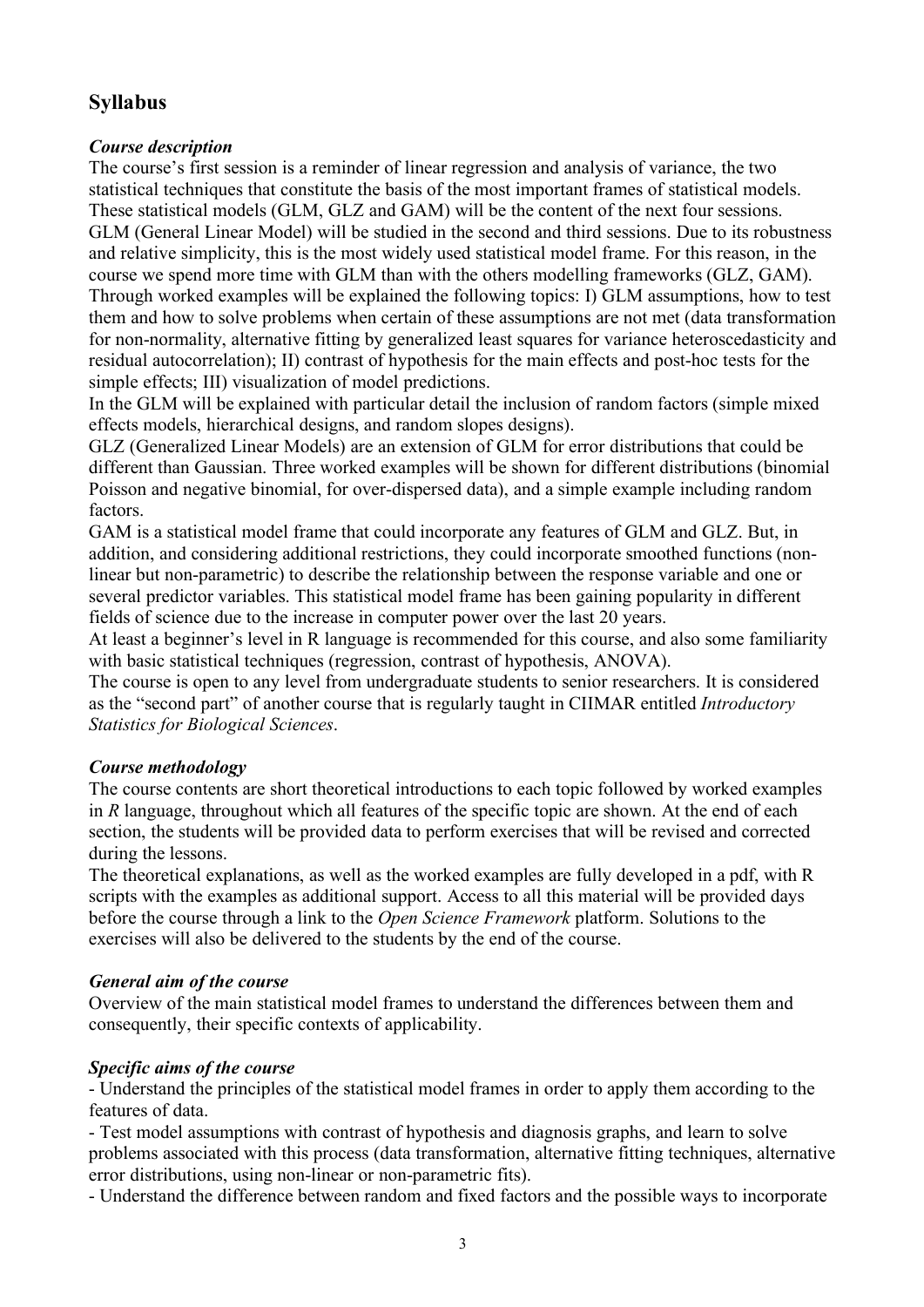## **Syllabus**

## *Course description*

The course's first session is a reminder of linear regression and analysis of variance, the two statistical techniques that constitute the basis of the most important frames of statistical models. These statistical models (GLM, GLZ and GAM) will be the content of the next four sessions. GLM (General Linear Model) will be studied in the second and third sessions. Due to its robustness and relative simplicity, this is the most widely used statistical model frame. For this reason, in the course we spend more time with GLM than with the others modelling frameworks (GLZ, GAM). Through worked examples will be explained the following topics: I) GLM assumptions, how to test them and how to solve problems when certain of these assumptions are not met (data transformation for non-normality, alternative fitting by generalized least squares for variance heteroscedasticity and residual autocorrelation); II) contrast of hypothesis for the main effects and post-hoc tests for the simple effects; III) visualization of model predictions.

In the GLM will be explained with particular detail the inclusion of random factors (simple mixed effects models, hierarchical designs, and random slopes designs).

GLZ (Generalized Linear Models) are an extension of GLM for error distributions that could be different than Gaussian. Three worked examples will be shown for different distributions (binomial Poisson and negative binomial, for over-dispersed data), and a simple example including random factors.

GAM is a statistical model frame that could incorporate any features of GLM and GLZ. But, in addition, and considering additional restrictions, they could incorporate smoothed functions (nonlinear but non-parametric) to describe the relationship between the response variable and one or several predictor variables. This statistical model frame has been gaining popularity in different fields of science due to the increase in computer power over the last 20 years.

At least a beginner's level in R language is recommended for this course, and also some familiarity with basic statistical techniques (regression, contrast of hypothesis, ANOVA).

The course is open to any level from undergraduate students to senior researchers. It is considered as the "second part" of another course that is regularly taught in CIIMAR entitled *Introductory Statistics for Biological Sciences*.

## *Course methodology*

The course contents are short theoretical introductions to each topic followed by worked examples in *R* language, throughout which all features of the specific topic are shown. At the end of each section, the students will be provided data to perform exercises that will be revised and corrected during the lessons.

The theoretical explanations, as well as the worked examples are fully developed in a pdf, with R scripts with the examples as additional support. Access to all this material will be provided days before the course through a link to the *Open Science Framework* platform. Solutions to the exercises will also be delivered to the students by the end of the course.

## *General aim of the course*

Overview of the main statistical model frames to understand the differences between them and consequently, their specific contexts of applicability.

## *Specific aims of the course*

- Understand the principles of the statistical model frames in order to apply them according to the features of data.

- Test model assumptions with contrast of hypothesis and diagnosis graphs, and learn to solve problems associated with this process (data transformation, alternative fitting techniques, alternative error distributions, using non-linear or non-parametric fits).

- Understand the difference between random and fixed factors and the possible ways to incorporate